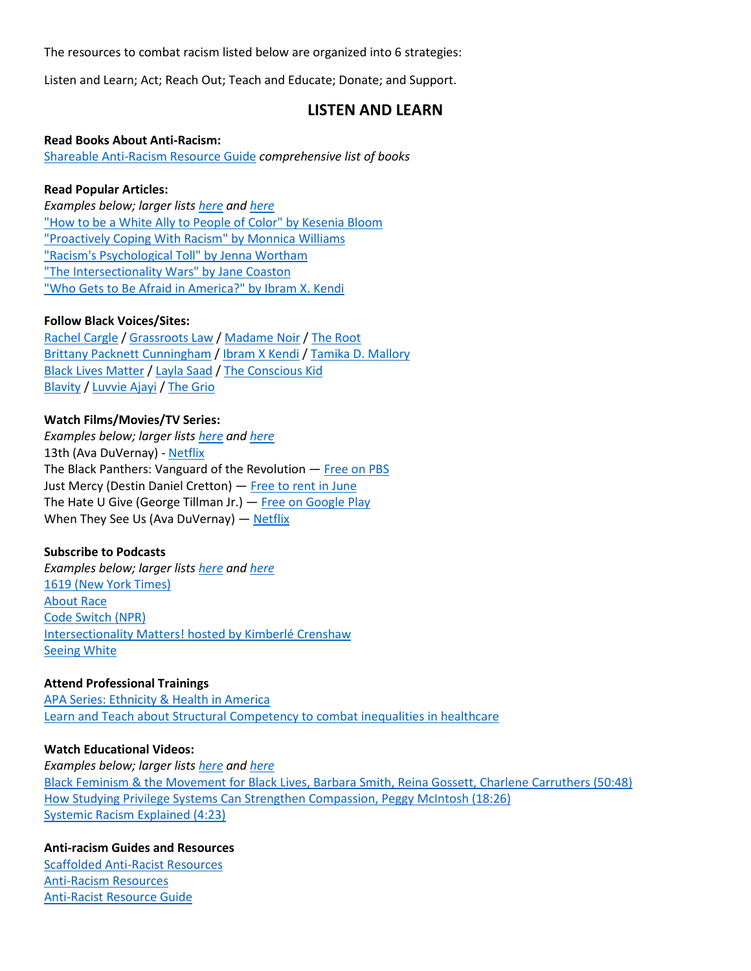The resources to combat racism listed below are organized into 6 strategies:

Listen and Learn; Act; Reach Out; Teach and Educate; Donate; and Support.

## **LISTEN AND LEARN**

#### **Read Books About Anti-Racism:**

[Shareable Anti-Racism Resource Guide](https://docs.google.com/document/d/1hpub-jkm9cLzJWqZSsETqbE6tZ13Q0UbQz--vQ2avEc/preview?pru=AAABcqBllXk*xRuihnPT4X77PKBaCwCwdQ) *comprehensive list of books*

#### **Read Popular Articles:**

*Examples below; larger lists [here](https://docs.google.com/document/d/1BRlF2_zhNe86SGgHa6-VlBO-QgirITwCTugSfKie5Fs/preview?pru=AAABcqBl8B8*5aR0b8O4eKHSMZR5EeR7sw) and [here](https://docs.google.com/document/d/1a-lzdtxOlWuzYNGqwlYwxMWADtZ6vJGCpKhtJHHrS54/mobilebasic)* ["How to be a White Ally to People of Color" by Kesenia Bloom](https://www.vice.com/en_us/article/ne95dm/how-to-be-a-white-ally-to-people-of-color) ["Proactively Coping With Racism" by Monnica Williams](https://www.psychologytoday.com/us/blog/culturally-speaking/201607/proactively-coping-racism) ["Racism's Psychological Toll" by Jenna Wortham](https://www.nytimes.com/2015/06/24/magazine/racisms-psychological-toll.html) ["The Intersectionality Wars" by Jane Coaston](https://www.vox.com/the-highlight/2019/5/20/18542843/intersectionality-conservatism-law-race-gender-discrimination) ["Who Gets to Be Afraid in America?" by Ibram X. Kendi](https://www.theatlantic.com/ideas/archive/2020/05/ahmaud-arbery/611539/)

#### **Follow Black Voices/Sites:**

[Rachel Cargle](https://www.instagram.com/rachel.cargle/?hl=en) [/ Grassroots Law](https://www.instagram.com/grassrootslaw/?hl=en) / [Madame Noir](https://madamenoire.com/) / [The Root](https://www.theroot.com/) [Brittany Packnett Cunningham](https://www.instagram.com/mspackyetti/?hl=en) [/ Ibram X Kendi](https://www.instagram.com/ibramxk/?hl=en) / [Tamika D. Mallory](https://www.instagram.com/tamikadmallory/) [Black Lives Matter](https://www.instagram.com/blklivesmatter/) / [Layla Saad](https://www.instagram.com/laylafsaad/) [/ The Conscious Kid](https://www.instagram.com/theconsciouskid/) [Blavity](https://www.instagram.com/blavity/)) / [Luvvie Ajayi](https://www.instagram.com/luvvie/) / [The Grio](https://thegrio.com/)

#### **Watch Films/Movies/TV Series:**

*Examples below; larger lists [here](https://docs.google.com/document/d/1BRlF2_zhNe86SGgHa6-VlBO-QgirITwCTugSfKie5Fs/preview?pru=AAABcqBl8B8*5aR0b8O4eKHSMZR5EeR7sw) and [here](https://docs.google.com/document/d/1a-lzdtxOlWuzYNGqwlYwxMWADtZ6vJGCpKhtJHHrS54/mobilebasic)* 13th (Ava DuVernay) - [Netflix](https://www.netflix.com/title/80091741) The Black Panthers: Vanguard of the Revolution — [Free on PBS](https://www.pbs.org/independentlens/films/the-black-panthers-vanguard-of-the-revolution/) Just Mercy (Destin Daniel Cretton) — [Free to rent in June](https://www.youtube.com/watch?v=q7MxXxFu6fI) The Hate U Give (George Tillman Jr.) - [Free on Google Play](https://play.google.com/store/movies/details?id=NXy0H-EZR5s) When They See Us (Ava DuVernay) - [Netflix](https://www.netflix.com/title/80200549?source=35)

#### **Subscribe to Podcasts**

*Examples below; larger lists [here](https://docs.google.com/document/d/1BRlF2_zhNe86SGgHa6-VlBO-QgirITwCTugSfKie5Fs/preview?pru=AAABcqBl8B8*5aR0b8O4eKHSMZR5EeR7sw) and [here](https://docs.google.com/document/d/1a-lzdtxOlWuzYNGqwlYwxMWADtZ6vJGCpKhtJHHrS54/mobilebasic)* [1619 \(New York Times\)](https://www.nytimes.com/2019/08/23/podcasts/1619-slavery-anniversary.html) [About Race](https://www.aboutracepodcast.com/) [Code Switch \(NPR\)](https://www.npr.org/podcasts/510312/codeswitch) [Intersectionality Matters! hosted by Kimberlé Crenshaw](https://aapf.org/podcast) [Seeing White](https://www.sceneonradio.org/seeing-white/)

#### **Attend Professional Trainings**

[APA Series: Ethnicity & Health in America](https://www.apa.org/pi/oema/resources/ethnicity-health/african-american/stress) [Learn and Teach about Structural Competency to combat inequalities in healthcare](https://www.jonathanmetzl.com/structural-competency/)

#### **Watch Educational Videos:**

*Examples below; larger lists [here](https://docs.google.com/document/d/1BRlF2_zhNe86SGgHa6-VlBO-QgirITwCTugSfKie5Fs/preview?pru=AAABcqBl8B8*5aR0b8O4eKHSMZR5EeR7sw) and [here](https://docs.google.com/document/d/1a-lzdtxOlWuzYNGqwlYwxMWADtZ6vJGCpKhtJHHrS54/mobilebasic)* [Black Feminism & the Movement for Black Lives, Barbara](https://www.youtube.com/watch?v=eV3nnFheQRo) Smith, Reina Gossett, Charlene Carruthers (50:48) [How Studying Privilege Systems Can Strengthen Compassion, Peggy McIntosh \(18:26\)](https://www.youtube.com/watch?v=e-BY9UEewHw) [Systemic Racism Explained \(4:23\)](https://youtu.be/YrHIQIO_bdQ)

#### **Anti-racism Guides and Resources**

[Scaffolded Anti-Racist Resources](https://docs.google.com/document/d/1PrAq4iBNb4nVIcTsLcNlW8zjaQXBLkWayL8EaPlh0bc/preview?fbclid=IwAR1LJsTH8kYm_3Wrq42xENQ-w96iNgl_cx5ivxhVgkb65rbnaxRbXebCq54&pru=AAABcp7DDrM*FexvxDEBQzj0FEIOwALemw) [Anti-Racism Resources](https://docs.google.com/document/d/1BRlF2_zhNe86SGgHa6-VlBO-QgirITwCTugSfKie5Fs/preview?pru=AAABcqBl8B8*5aR0b8O4eKHSMZR5EeR7sw) [Anti-Racist Resource Guide](https://docs.google.com/document/d/1a-lzdtxOlWuzYNGqwlYwxMWADtZ6vJGCpKhtJHHrS54/mobilebasic)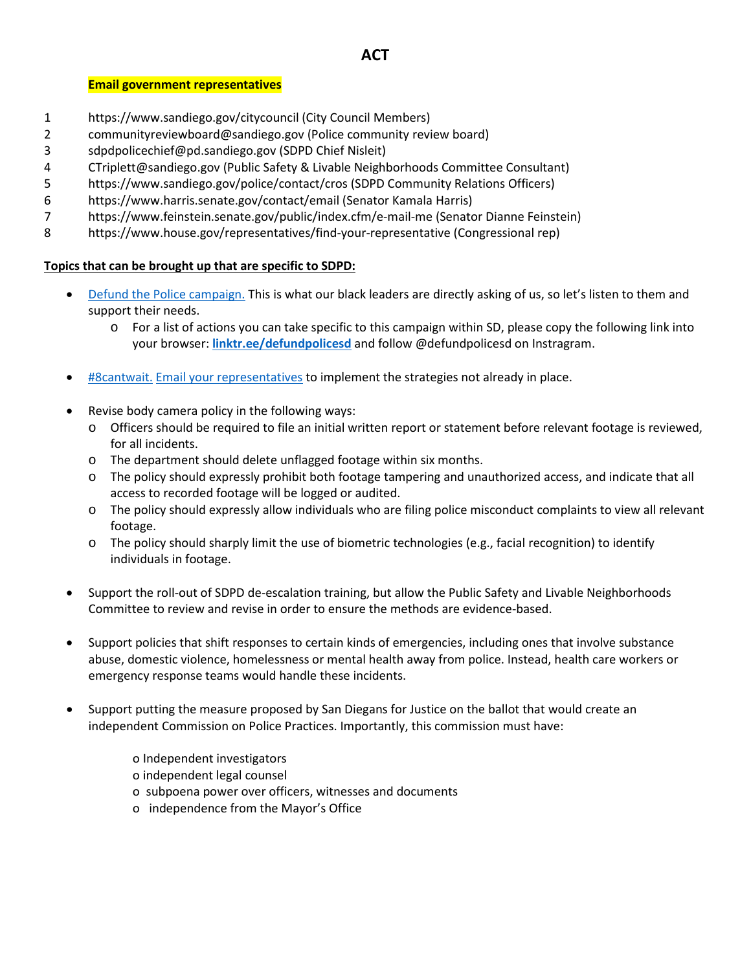## **ACT**

### **Email government representatives**

- 1 https://www.sandiego.gov/citycouncil (City Council Members)
- 2 communityreviewboard@sandiego.gov (Police community review board)
- 3 sdpdpolicechief@pd.sandiego.gov (SDPD Chief Nisleit)
- 4 CTriplett@sandiego.gov (Public Safety & Livable Neighborhoods Committee Consultant)
- 5 https://www.sandiego.gov/police/contact/cros (SDPD Community Relations Officers)
- 6 https://www.harris.senate.gov/contact/email (Senator Kamala Harris)
- 7 https://www.feinstein.senate.gov/public/index.cfm/e-mail-me (Senator Dianne Feinstein)
- 8 https://www.house.gov/representatives/find-your-representative (Congressional rep)

## **Topics that can be brought up that are specific to SDPD:**

- [Defund the Police campaign.](http://www.theatlantic.com/ideas/archive/2020/06/defund-police/612682) This is what our black leaders are directly asking of us, so let's listen to them and support their needs.
	- o For a list of actions you can take specific to this campaign within SD, please copy the following link into your browser: **[linktr.ee/defundpolicesd](https://l.instagram.com/?u=https%3A%2F%2Flinktr.ee%2Fdefundpolicesd&e=ATPIYFBVmiCJ_udZEB6iAuHh7YO3ZkaVx5X4GU7hlTHQxRlmMnZ_Gy0UNx3-ix3fTi7hp72XsE21-rIL8tl7_W7sH9AzytEEUk-RjQ&s=1)** and follow @defundpolicesd on Instragram.
- [#8cantwait.](http://www.8cantwait.org/) [Email your representatives](https://linktr.ee/8cantwait) to implement the strategies not already in place.
- Revise body camera policy in the following ways:
	- o Officers should be required to file an initial written report or statement before relevant footage is reviewed, for all incidents.
	- o The department should delete unflagged footage within six months.
	- o The policy should expressly prohibit both footage tampering and unauthorized access, and indicate that all access to recorded footage will be logged or audited.
	- o The policy should expressly allow individuals who are filing police misconduct complaints to view all relevant footage.
	- o The policy should sharply limit the use of biometric technologies (e.g., facial recognition) to identify individuals in footage.
- Support the roll-out of SDPD de-escalation training, but allow the Public Safety and Livable Neighborhoods Committee to review and revise in order to ensure the methods are evidence-based.
- Support policies that shift responses to certain kinds of emergencies, including ones that involve substance abuse, domestic violence, homelessness or mental health away from police. Instead, health care workers or emergency response teams would handle these incidents.
- Support putting the measure proposed by San Diegans for Justice on the ballot that would create an independent Commission on Police Practices. Importantly, this commission must have:
	- o Independent investigators
	- o independent legal counsel
	- o subpoena power over officers, witnesses and documents
	- o independence from the Mayor's Office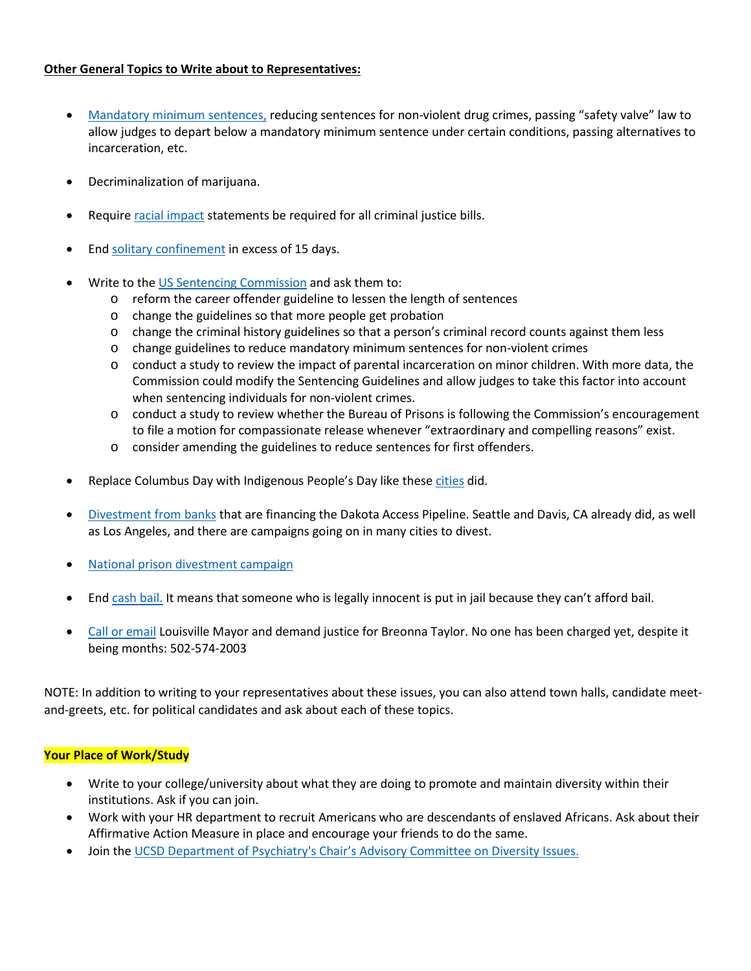## **Other General Topics to Write about to Representatives:**

- [Mandatory minimum sentences,](https://famm.org/) reducing sentences for non-violent drug crimes, passing "safety valve" law to allow judges to depart below a mandatory minimum sentence under certain conditions, passing alternatives to incarceration, etc.
- Decriminalization of marijuana.
- Require [racial impact](https://www.sentencingproject.org/publications/racial-impact-statements/) statements be required for all criminal justice bills.
- End [solitary confinement](https://news.un.org/en/story/2011/10/392012-solitary-confinement-should-be-banned-most-cases-un-expert-says#.WdEub8iGPIV) in excess of 15 days.
- Write to the [US Sentencing Commission](https://www.ussc.gov/) and ask them to:
	- o reform the career offender guideline to lessen the length of sentences
	- o change the guidelines so that more people get probation
	- o change the criminal history guidelines so that a person's criminal record counts against them less
	- o change guidelines to reduce mandatory minimum sentences for non-violent crimes
	- $\circ$  conduct a study to review the impact of parental incarceration on minor children. With more data, the Commission could modify the Sentencing Guidelines and allow judges to take this factor into account when sentencing individuals for non-violent crimes.
	- o conduct a study to review whether the Bureau of Prisons is following the Commission's encouragement to file a motion for compassionate release whenever "extraordinary and compelling reasons" exist.
	- o consider amending the guidelines to reduce sentences for first offenders.
- Replace Columbus Day with Indigenous People's Day like these [cities](https://time.com/4968067/indigenous-peoples-day-columbus-day-cities/) did.
- [Divestment from banks](http://howtodivest.org/) that are financing the Dakota Access Pipeline. Seattle and Davis, CA already did, as well as Los Angeles, and there are campaigns going on in many cities to divest.
- [National prison divestment campaign](https://www.enlaceintl.org/prison-divestment)
- End [cash bail.](https://bailproject.org/) It means that someone who is legally innocent is put in jail because they can't afford bail.
- [Call or email](https://www.instagram.com/p/CA6DBUrJ_LM/) Louisville Mayor and demand justice for Breonna Taylor. No one has been charged yet, despite it being months: 502-574-2003

NOTE: In addition to writing to your representatives about these issues, you can also attend town halls, candidate meetand-greets, etc. for political candidates and ask about each of these topics.

#### **Your Place of Work/Study**

- Write to your college/university about what they are doing to promote and maintain diversity within their institutions. Ask if you can join.
- Work with your HR department to recruit Americans who are descendants of enslaved Africans. Ask about their Affirmative Action Measure in place and encourage your friends to do the same.
- Join th[e UCSD Department of Psychiatry's Chair's Advisory Committee on Diversity Issues.](https://medschool.ucsd.edu/som/psychiatry/about/Diversity/Pages/default.aspx)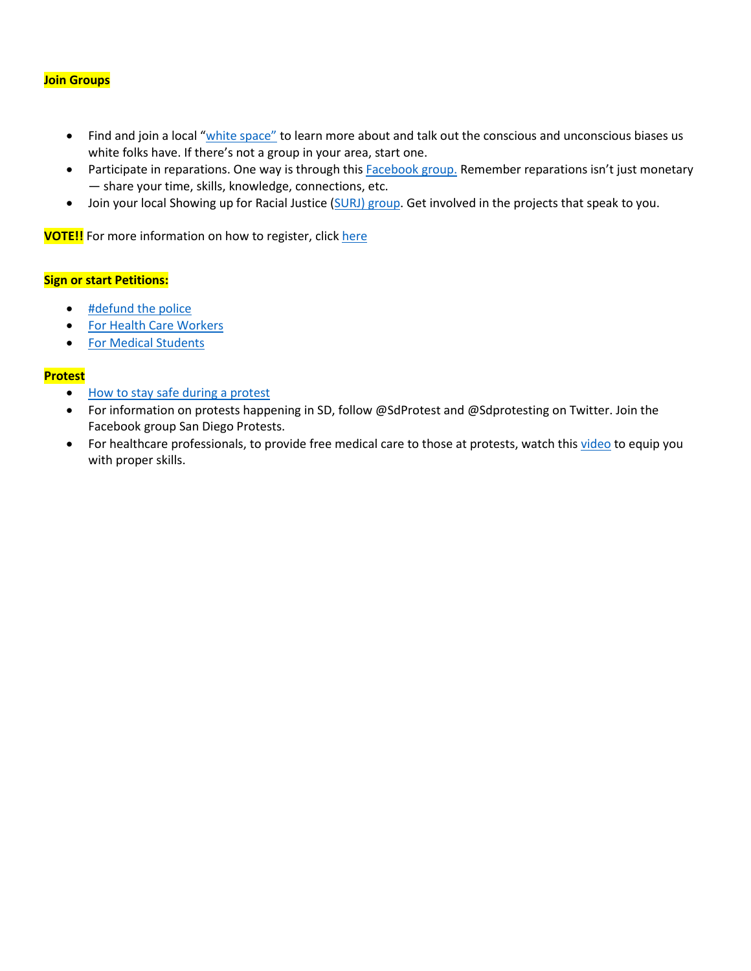#### **Join Groups**

- Find and join a local ["white space"](https://www.nbcnews.com/news/us-news/wow-i-m-racist-time-viral-encounters-white-spaces-are-n947311?fbclid=IwAR1JX_CGV0Tu-Dz1DVfoWIanpJxgSmD1PnMLq3tPJu0w3ex9WGS58OJBte0) to learn more about and talk out the conscious and unconscious biases us white folks have. If there's not a group in your area, start one.
- Participate in reparations. One way is through thi[s Facebook group.](https://www.facebook.com/groups/939299172870387/) Remember reparations isn't just monetary — share your time, skills, knowledge, connections, etc.
- Join your local Showing up for Racial Justice [\(SURJ\) group.](https://www.showingupforracialjustice.org/) Get involved in the projects that speak to you.

**VOTE!!** For more information on how to register, click [here](https://www.usa.gov/register-to-vote)

#### **Sign or start Petitions:**

- [#defund the police](https://blacklivesmatter.com/defundthepolice/)
- [For Health Care Workers](https://docs.google.com/forms/d/e/1FAIpQLSef_I6Eoc6KksCqPjkFjATQ-3BrrSAxSxK1UlI8-SuG2ItBxA/viewform)
- [For Medical Students](https://docs.google.com/document/d/1tAPG6ioX-FiAE6K6zIqF7Rb0nO53n-ue8aAyvGpC_Oc/edit)

#### **Protest**

- [How to stay safe during a protest](https://www.amnestyusa.org/pdfs/SafeyDuringProtest_F.pdf)
- For information on protests happening in SD, follow @SdProtest and @Sdprotesting on Twitter. Join the Facebook group San Diego Protests.
- For healthcare professionals, to provide free medical care to those at protests, watch thi[s video](ohttps://www.youtube.com/watch?v=TV-TrRuRoWs&t=3s) to equip you with proper skills.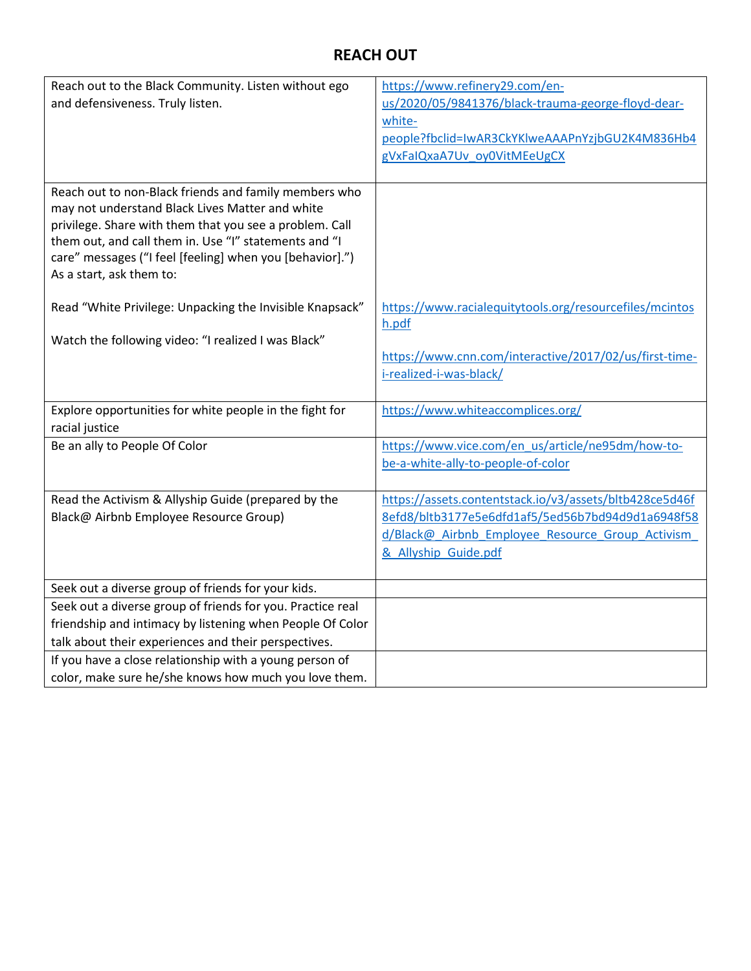# **REACH OUT**

| Reach out to the Black Community. Listen without ego                                                                                                                                                                                                                                                                 | https://www.refinery29.com/en-                                   |
|----------------------------------------------------------------------------------------------------------------------------------------------------------------------------------------------------------------------------------------------------------------------------------------------------------------------|------------------------------------------------------------------|
| and defensiveness. Truly listen.                                                                                                                                                                                                                                                                                     | us/2020/05/9841376/black-trauma-george-floyd-dear-               |
|                                                                                                                                                                                                                                                                                                                      | white-                                                           |
|                                                                                                                                                                                                                                                                                                                      | people?fbclid=IwAR3CkYKlweAAAPnYzjbGU2K4M836Hb4                  |
|                                                                                                                                                                                                                                                                                                                      | gVxFaIQxaA7Uv oy0VitMEeUgCX                                      |
|                                                                                                                                                                                                                                                                                                                      |                                                                  |
| Reach out to non-Black friends and family members who<br>may not understand Black Lives Matter and white<br>privilege. Share with them that you see a problem. Call<br>them out, and call them in. Use "I" statements and "I<br>care" messages ("I feel [feeling] when you [behavior].")<br>As a start, ask them to: |                                                                  |
| Read "White Privilege: Unpacking the Invisible Knapsack"                                                                                                                                                                                                                                                             | https://www.racialequitytools.org/resourcefiles/mcintos<br>h.pdf |
| Watch the following video: "I realized I was Black"                                                                                                                                                                                                                                                                  |                                                                  |
|                                                                                                                                                                                                                                                                                                                      | https://www.cnn.com/interactive/2017/02/us/first-time-           |
|                                                                                                                                                                                                                                                                                                                      | i-realized-i-was-black/                                          |
|                                                                                                                                                                                                                                                                                                                      |                                                                  |
| Explore opportunities for white people in the fight for                                                                                                                                                                                                                                                              | https://www.whiteaccomplices.org/                                |
| racial justice<br>Be an ally to People Of Color                                                                                                                                                                                                                                                                      | https://www.vice.com/en_us/article/ne95dm/how-to-                |
|                                                                                                                                                                                                                                                                                                                      | be-a-white-ally-to-people-of-color                               |
|                                                                                                                                                                                                                                                                                                                      |                                                                  |
| Read the Activism & Allyship Guide (prepared by the                                                                                                                                                                                                                                                                  | https://assets.contentstack.io/v3/assets/bltb428ce5d46f          |
| Black@ Airbnb Employee Resource Group)                                                                                                                                                                                                                                                                               | 8efd8/bltb3177e5e6dfd1af5/5ed56b7bd94d9d1a6948f58                |
|                                                                                                                                                                                                                                                                                                                      | d/Black@_Airbnb_Employee_Resource_Group_Activism                 |
|                                                                                                                                                                                                                                                                                                                      | & Allyship Guide.pdf                                             |
|                                                                                                                                                                                                                                                                                                                      |                                                                  |
| Seek out a diverse group of friends for your kids.                                                                                                                                                                                                                                                                   |                                                                  |
| Seek out a diverse group of friends for you. Practice real                                                                                                                                                                                                                                                           |                                                                  |
| friendship and intimacy by listening when People Of Color                                                                                                                                                                                                                                                            |                                                                  |
| talk about their experiences and their perspectives.                                                                                                                                                                                                                                                                 |                                                                  |
| If you have a close relationship with a young person of                                                                                                                                                                                                                                                              |                                                                  |
| color, make sure he/she knows how much you love them.                                                                                                                                                                                                                                                                |                                                                  |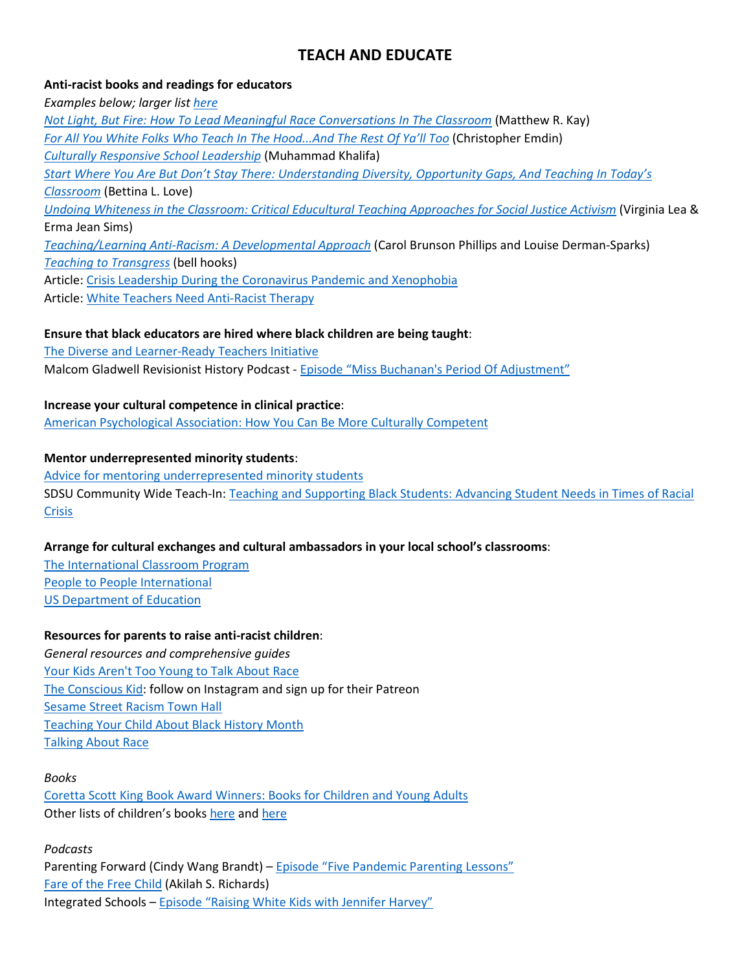# **TEACH AND EDUCATE**

## **Anti-racist books and readings for educators**

*Examples below; larger lis[t here](https://culturallyresponsiveleadership.com/antiracistbooks/?fbclid=IwAR1btKJ98pZY4TfUAipwya2-LtwBE8JcLE7VG9iJruFbNF1dSrpWdAWSwNk) [Not Light, But Fire: How To Lead Meaningful Race Conversations In The Classroom](https://www.amazon.com/Not-Light-but-Fire-Conversations/dp/1625310986)* (Matthew R. Kay) *[For All You White Folks Who Teach In The Hood...And The Rest Of Ya'll Too](https://www.amazon.com/White-Folks-Teach-Hood-Rest/dp/0807028029)* (Christopher Emdin) *[Culturally Responsive School Leadership](https://www.amazon.com/Culturally-Responsive-School-Leadership-Education/dp/1682532070/ref=sr_1_1?dchild=1&keywords=Culturally+Responsive+School+Leadership&qid=1592271027&s=books&sr=1-1)* (Muhammad Khalifa) *[Start Where You Are But Don't Stay There: Understanding Diversity, Opportunity Gaps, And Teaching In Today's](https://www.amazon.com/Start-Where-Dont-Stay-There/dp/1934742767)  [Classroom](https://www.amazon.com/Start-Where-Dont-Stay-There/dp/1934742767)* (Bettina L. Love) *[Undoing Whiteness in the Classroom: Critical Educultural Teaching Approaches for Social Justice Activism](https://www.amazon.com/Undoing-Whiteness-Classroom-Educultural-Counterpoints/dp/B01FKWPM3M)* (Virginia Lea & Erma Jean Sims) *[Teaching/Learning Anti-Racism:](https://www.amazon.com/Teaching-Learning-Anti-Racism-Developmental-Approach/dp/0807736376/ref=sr_1_1?dchild=1&keywords=Teaching%2FLearning+Anti-Racism%3A+A+Developmental+Approach&qid=1592270890&s=books&sr=1-1) A Developmental Approach* (Carol Brunson Phillips and Louise Derman-Sparks) *[Teaching to Transgress](https://www.amazon.com/Teaching-Transgress-Education-Practice-Translation/dp/0415908086)* (bell hooks) Article[: Crisis Leadership During the Coronavirus Pandemic and Xenophobia](https://intersections.ilamembers.org/member-benefit-access/interface/global-and-culturally-diverse-leadership/2020-crisis-leadership) Article[: White Teachers Need Anti-Racist Therapy](https://www.edweek.org/ew/articles/2020/02/07/all-teachers-need-therapy-white-teachers-need.html)

## **Ensure that black educators are hired where black children are being taught**:

[The Diverse and Learner-Ready Teachers Initiative](https://ccsso.org/topics/diverse-and-learner-ready-teachers-initiative) Malcom Gladwell Revisionist History Podcast - [Episode "Miss Buchanan's Period Of Adjustment"](http://revisionisthistory.com/episodes/13-miss-buchanans-period-of-adjustment)

**Increase your cultural competence in clinical practice**: [American Psychological Association:](https://www.apaservices.org/practice/good-practice/becoming-culturally-competent.pdf) How You Can Be More Culturally Competent

## **Mentor underrepresented minority students**:

[Advice for mentoring underrepresented minority students](https://www.insidehighered.com/advice/2020/01/13/advice-mentoring-underrepresented-minority-students-when-you-are-white-opinion) SDSU Community Wide Teach-In: [Teaching and Supporting Black Students: Advancing Student Needs in Times of Racial](https://diversity.sdsu.edu/cie/teachin-june4)  **[Crisis](https://diversity.sdsu.edu/cie/teachin-june4)** 

## **Arrange for cultural exchanges and cultural ambassadors in your local school's classrooms**:

[The International Classroom Program](https://www.penn.museum/sites/k12/field-trips/international-classroom/) [People to People](https://ptpi.org/) International [US Department of Education](https://www2.ed.gov/teachers/how/tech/international/guide_pg2.html)

#### **Resources for parents to raise anti-racist children**:

*General resources and comprehensive guides* [Your Kids Aren't Too Young to Talk About Race](https://www.prettygooddesign.org/blog/Blog%20Post%20Title%20One-5new4) [The Conscious Kid:](https://www.theconsciouskid.org/) follow on Instagram and sign up for their Patreon [Sesame Street Racism Town Hall](https://www.cnn.com/2020/06/06/app-news-section/cnn-sesame-street-race-town-hall-app-june-6-2020-app/index.html) [Teaching Your Child About Black History Month](https://www.pbs.org/parents/thrive/teaching-your-child-about-black-history-month) [Talking About Race](https://nmaahc.si.edu/learn/talking-about-race)

#### *Books*

[Coretta Scott King Book Award Winners: Books for Children and Young Adults](https://www.brilliant-books.net/2020-coretta-scott-king-book-award-winners-and-honorees) Other lists of children's books [here](https://www.scarymommy.com/teacher-viral-list-children-books-race/) an[d here](https://www.pbs.org/parents/thrive/childrens-books-about-race-and-diversity?fbclid=IwAR2LnL0y0yexEF4a3jsrljZt3YiQG8rAFGPG90howNeFqY8GjuG1A0QVUu8)

*Podcasts* Parenting Forward (Cindy Wang Brandt) – [Episode "Five Pandemic Parenting Lessons"](https://cindywangbrandt.com/podcast/episode-75-five-pandemic-parenting-lessons-with-cindy-wang-brandt/) [Fare of the Free Child](https://www.raisingfreepeople.com/podcast/) (Akilah S. Richards) Integrated Schools – [Episode "Raising White Kids with Jennifer Harvey"](https://integratedschools.simplecast.com/episodes/harvey-zqXhqba0)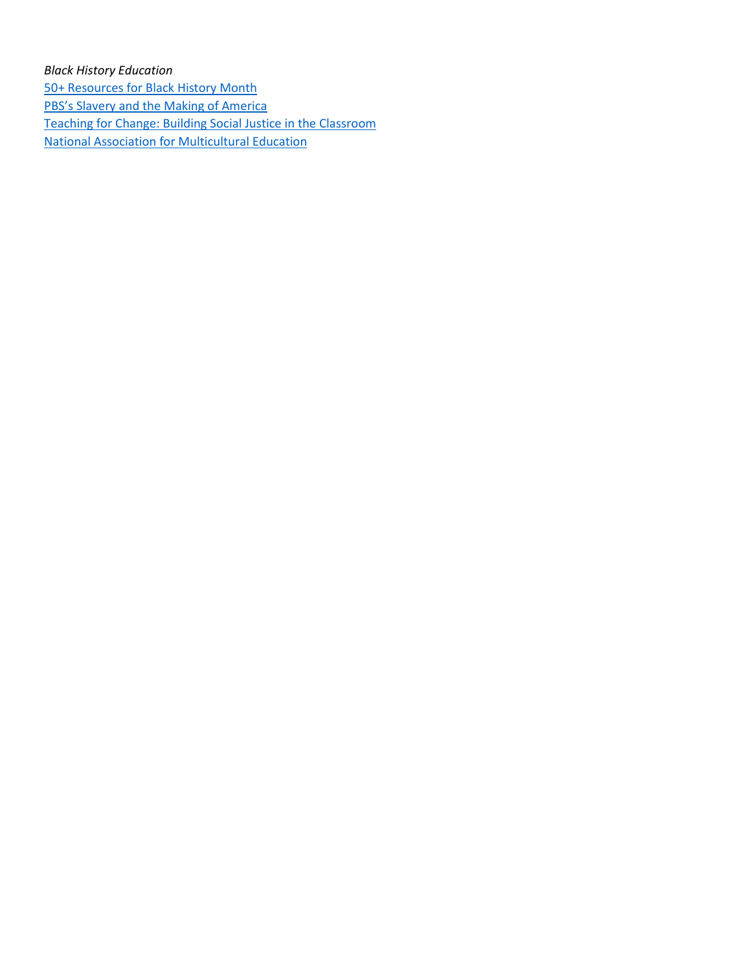## *Black History Education*

[50+ Resources for Black History Month](http://www.poconlineclassroom.com/blog/2018/2/7/black-history-month-resouces?rq=black+history&fbclid=IwAR1wtmLhwnhY7q1L1X1MFC2GH7j2YrRRrGRpQcnH-au2fhX5Y3S1QgweOHY) [PBS's Slavery and the Making of America](https://www.thirteen.org/wnet/slavery/teachers/index.html) [Teaching for Change: Building Social Justice in the Classroom](https://www.teachingforchange.org/) [National Association for Multicultural Education](https://nameorg.org/)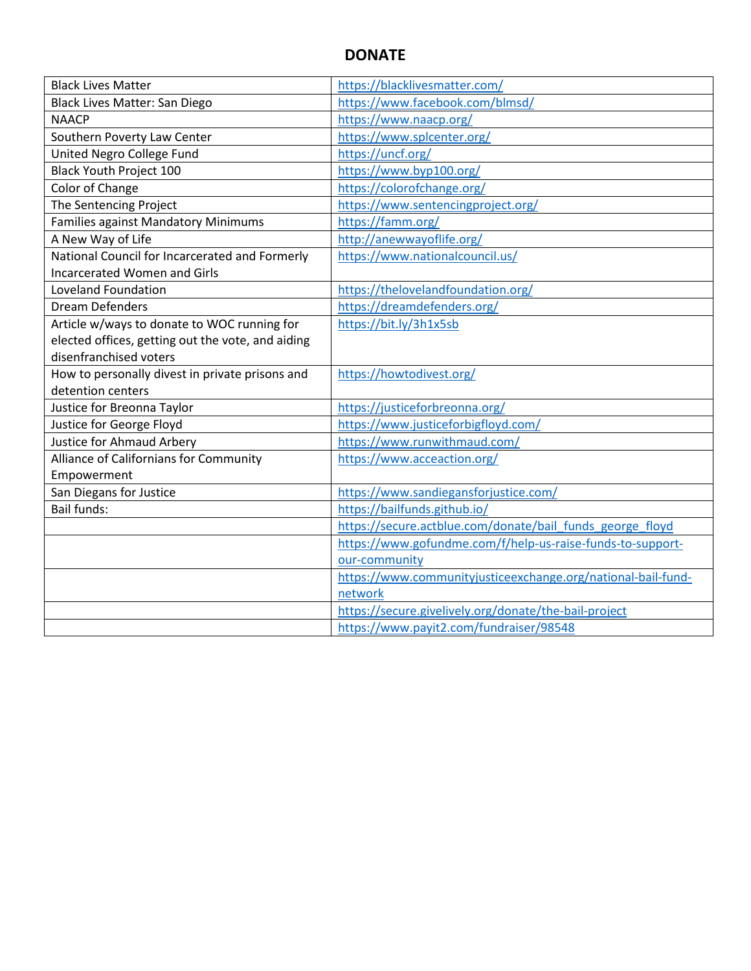# **DONATE**

| <b>Black Lives Matter</b>                         | https://blacklivesmatter.com/                                |
|---------------------------------------------------|--------------------------------------------------------------|
| Black Lives Matter: San Diego                     | https://www.facebook.com/blmsd/                              |
| <b>NAACP</b>                                      | https://www.naacp.org/                                       |
| Southern Poverty Law Center                       | https://www.splcenter.org/                                   |
| United Negro College Fund                         | https://uncf.org/                                            |
| <b>Black Youth Project 100</b>                    | https://www.byp100.org/                                      |
| Color of Change                                   | https://colorofchange.org/                                   |
| The Sentencing Project                            | https://www.sentencingproject.org/                           |
| <b>Families against Mandatory Minimums</b>        | https://famm.org/                                            |
| A New Way of Life                                 | http://anewwayoflife.org/                                    |
| National Council for Incarcerated and Formerly    | https://www.nationalcouncil.us/                              |
| <b>Incarcerated Women and Girls</b>               |                                                              |
| <b>Loveland Foundation</b>                        | https://thelovelandfoundation.org/                           |
| <b>Dream Defenders</b>                            | https://dreamdefenders.org/                                  |
| Article w/ways to donate to WOC running for       | https://bit.ly/3h1x5sb                                       |
| elected offices, getting out the vote, and aiding |                                                              |
| disenfranchised voters                            |                                                              |
| How to personally divest in private prisons and   | https://howtodivest.org/                                     |
| detention centers                                 |                                                              |
| Justice for Breonna Taylor                        | https://justiceforbreonna.org/                               |
| Justice for George Floyd                          | https://www.justiceforbigfloyd.com/                          |
| Justice for Ahmaud Arbery                         | https://www.runwithmaud.com/                                 |
| Alliance of Californians for Community            | https://www.acceaction.org/                                  |
| Empowerment                                       |                                                              |
| San Diegans for Justice                           | https://www.sandiegansforjustice.com/                        |
| <b>Bail funds:</b>                                | https://bailfunds.github.io/                                 |
|                                                   | https://secure.actblue.com/donate/bail funds george floyd    |
|                                                   | https://www.gofundme.com/f/help-us-raise-funds-to-support-   |
|                                                   | our-community                                                |
|                                                   | https://www.communityjusticeexchange.org/national-bail-fund- |
|                                                   | network                                                      |
|                                                   | https://secure.givelively.org/donate/the-bail-project        |
|                                                   | https://www.payit2.com/fundraiser/98548                      |